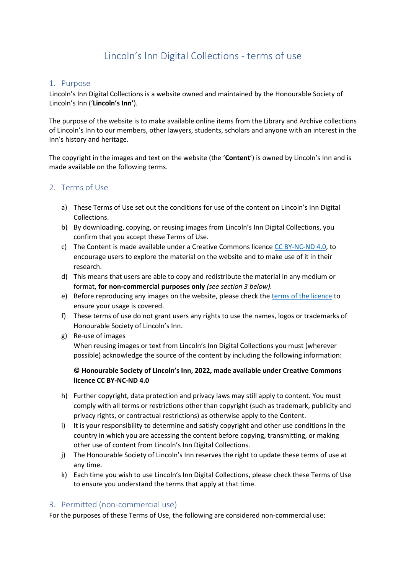# Lincoln's Inn Digital Collections - terms of use

### 1. Purpose

Lincoln's Inn Digital Collections is a website owned and maintained by the Honourable Society of Lincoln's Inn ('**Lincoln's Inn'**).

The purpose of the website is to make available online items from the Library and Archive collections of Lincoln's Inn to our members, other lawyers, students, scholars and anyone with an interest in the Inn's history and heritage.

The copyright in the images and text on the website (the '**Content**') is owned by Lincoln's Inn and is made available on the following terms.

### 2. Terms of Use

- a) These Terms of Use set out the conditions for use of the content on Lincoln's Inn Digital Collections.
- b) By downloading, copying, or reusing images from Lincoln's Inn Digital Collections, you confirm that you accept these Terms of Use.
- c) The Content is made available under a Creative Commons licenc[e CC BY-NC-ND 4.0,](https://creativecommons.org/licenses/by-nc-nd/4.0/) to encourage users to explore the material on the website and to make use of it in their research.
- d) This means that users are able to copy and redistribute the material in any medium or format, **for non-commercial purposes only** *(see section 3 below).*
- e) Before reproducing any images on the website, please check th[e terms of the licence](https://creativecommons.org/licenses/by-nc-nd/4.0/) to ensure your usage is covered.
- f) These terms of use do not grant users any rights to use the names, logos or trademarks of Honourable Society of Lincoln's Inn.
- g) Re-use of images

When reusing images or text from Lincoln's Inn Digital Collections you must (wherever possible) acknowledge the source of the content by including the following information:

### **© Honourable Society of Lincoln's Inn, 2022, made available under Creative Commons licence CC BY-NC-ND 4.0**

- h) Further copyright, data protection and privacy laws may still apply to content. You must comply with all terms or restrictions other than copyright (such as trademark, publicity and privacy rights, or contractual restrictions) as otherwise apply to the Content.
- i) It is your responsibility to determine and satisfy copyright and other use conditions in the country in which you are accessing the content before copying, transmitting, or making other use of content from Lincoln's Inn Digital Collections.
- j) The Honourable Society of Lincoln's Inn reserves the right to update these terms of use at any time.
- k) Each time you wish to use Lincoln's Inn Digital Collections, please check these Terms of Use to ensure you understand the terms that apply at that time.

# 3. Permitted (non-commercial use)

For the purposes of these Terms of Use, the following are considered non-commercial use: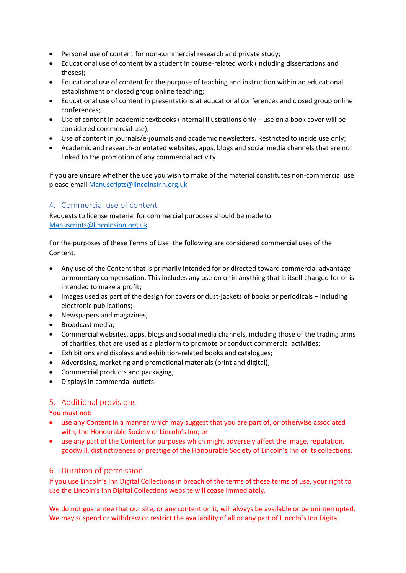- Personal use of content for non-commercial research and private study;
- Educational use of content by a student in course-related work (including dissertations and theses);
- Educational use of content for the purpose of teaching and instruction within an educational establishment or closed group online teaching;
- Educational use of content in presentations at educational conferences and closed group online conferences;
- Use of content in academic textbooks (internal illustrations only use on a book cover will be considered commercial use);
- Use of content in journals/e-journals and academic newsletters. Restricted to inside use only;
- Academic and research-orientated websites, apps, blogs and social media channels that are not linked to the promotion of any commercial activity.

If you are unsure whether the use you wish to make of the material constitutes non-commercial use please emai[l Manuscripts@lincolnsinn.org.uk](mailto:Manuscripts@lincolnsinn.org.uk) 

# 4. Commercial use of content

Requests to license material for commercial purposes should be made to [Manuscripts@lincolnsinn.org.uk](mailto:Manuscripts@lincolnsinn.org.uk) 

For the purposes of these Terms of Use, the following are considered commercial uses of the Content.

- Any use of the Content that is primarily intended for or directed toward commercial advantage or monetary compensation. This includes any use on or in anything that is itself charged for or is intended to make a profit;
- Images used as part of the design for covers or dust-jackets of books or periodicals including electronic publications;
- Newspapers and magazines;
- Broadcast media;
- Commercial websites, apps, blogs and social media channels, including those of the trading arms of charities, that are used as a platform to promote or conduct commercial activities;
- Exhibitions and displays and exhibition-related books and catalogues;
- Advertising, marketing and promotional materials (print and digital);
- Commercial products and packaging;
- Displays in commercial outlets.

# 5. Additional provisions

You must not:

- use any Content in a manner which may suggest that you are part of, or otherwise associated with, the Honourable Society of Lincoln's Inn; or
- use any part of the Content for purposes which might adversely affect the image, reputation, goodwill, distinctiveness or prestige of the Honourable Society of Lincoln's Inn or its collections.

# 6. Duration of permission

If you use Lincoln's Inn Digital Collections in breach of the terms of these terms of use, your right to use the Lincoln's Inn Digital Collections website will cease immediately.

We do not guarantee that our site, or any content on it, will always be available or be uninterrupted. We may suspend or withdraw or restrict the availability of all or any part of Lincoln's Inn Digital